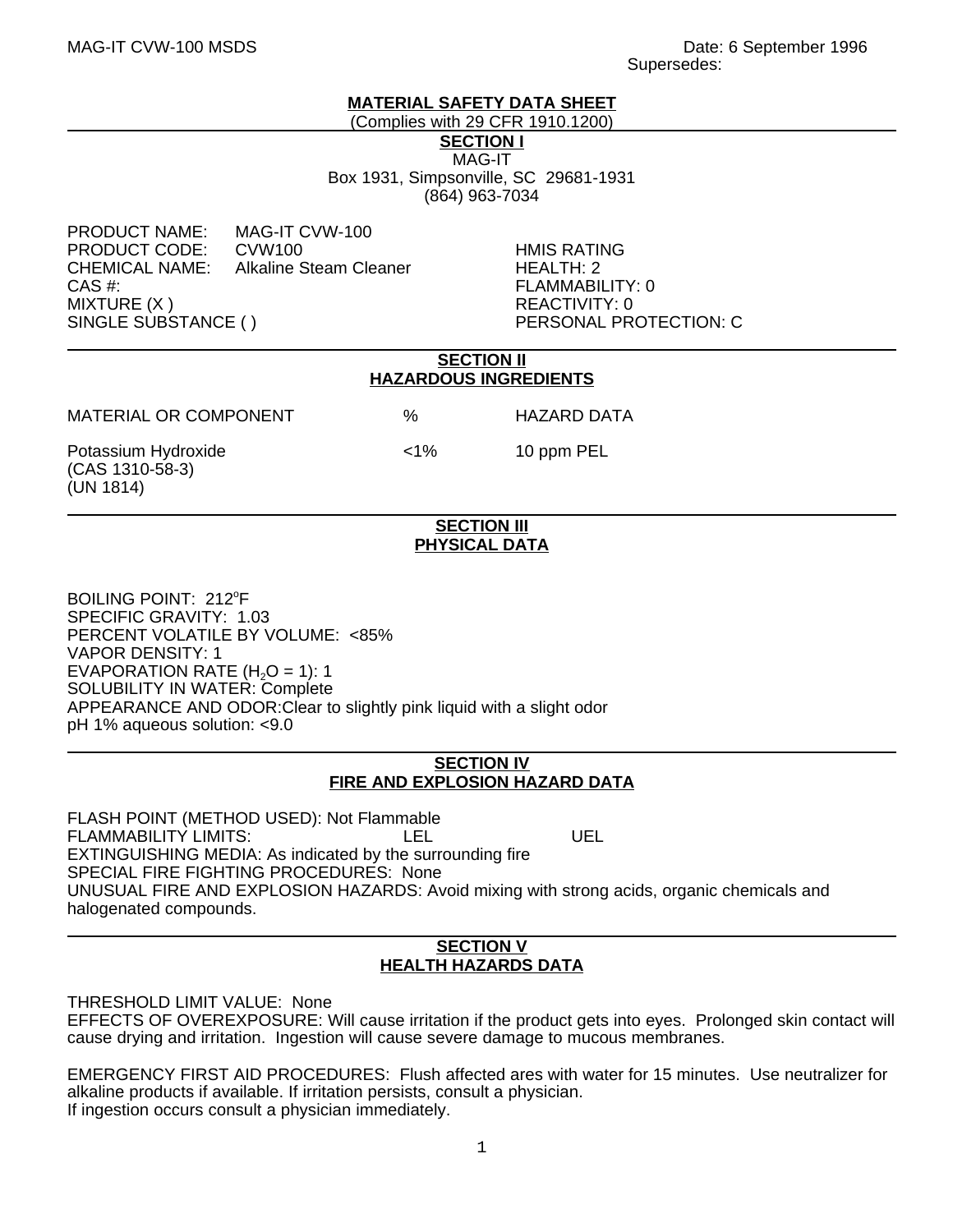## **MATERIAL SAFETY DATA SHEET**

(Complies with 29 CFR 1910.1200) **SECTION I** MAG-IT

Box 1931, Simpsonville, SC 29681-1931 (864) 963-7034

PRODUCT NAME: MAG-IT CVW-100<br>PRODUCT CODE: CVW100 PRODUCT CODE: CVW100 HMIS RATING CHEMICAL NAME: Alkaline Steam Cleaner HEALTH: 2 CAS #: FLAMMABILITY: 0 MIXTURE (X ) REACTIVITY: 0

PERSONAL PROTECTION: C

#### **SECTION II HAZARDOUS INGREDIENTS**

MATERIAL OR COMPONENT % HAZARD DATA

Potassium Hydroxide  $\langle 1\%$   $\langle 1\% \rangle$  10 ppm PEL (CAS 1310-58-3) (UN 1814)

### **SECTION III PHYSICAL DATA**

BOILING POINT: 212°F SPECIFIC GRAVITY: 1.03 PERCENT VOLATILE BY VOLUME: <85% VAPOR DENSITY: 1 EVAPORATION RATE  $(H<sub>2</sub>O = 1)$ : 1 SOLUBILITY IN WATER: Complete APPEARANCE AND ODOR:Clear to slightly pink liquid with a slight odor pH 1% aqueous solution: <9.0

# **SECTION IV FIRE AND EXPLOSION HAZARD DATA**

FLASH POINT (METHOD USED): Not Flammable FLAMMABILITY LIMITS: LEL LEL UEL EXTINGUISHING MEDIA: As indicated by the surrounding fire SPECIAL FIRE FIGHTING PROCEDURES: None UNUSUAL FIRE AND EXPLOSION HAZARDS: Avoid mixing with strong acids, organic chemicals and halogenated compounds.

## **SECTION V HEALTH HAZARDS DATA**

THRESHOLD LIMIT VALUE: None

EFFECTS OF OVEREXPOSURE: Will cause irritation if the product gets into eyes. Prolonged skin contact will cause drying and irritation. Ingestion will cause severe damage to mucous membranes.

EMERGENCY FIRST AID PROCEDURES: Flush affected ares with water for 15 minutes. Use neutralizer for alkaline products if available. If irritation persists, consult a physician. If ingestion occurs consult a physician immediately.